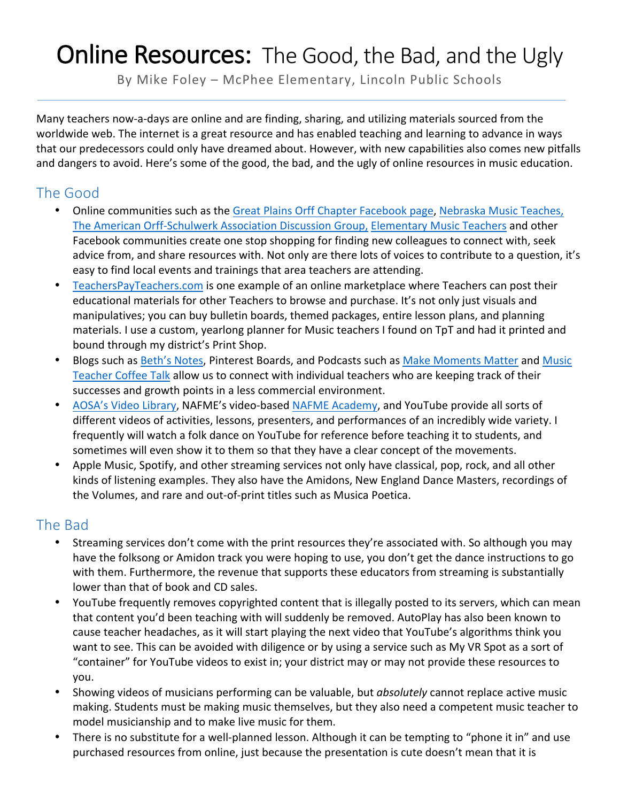## **Online Resources:** The Good, the Bad, and the Ugly

By Mike Foley - McPhee Elementary, Lincoln Public Schools

Many teachers now-a-days are online and are finding, sharing, and utilizing materials sourced from the worldwide web. The internet is a great resource and has enabled teaching and learning to advance in ways that our predecessors could only have dreamed about. However, with new capabilities also comes new pitfalls and dangers to avoid. Here's some of the good, the bad, and the ugly of online resources in music education.

## The Good

- Online communities such as the Great Plains Orff Chapter Facebook page, Nebraska Music Teaches, The American Orff-Schulwerk Association Discussion Group, Elementary Music Teachers and other Facebook communities create one stop shopping for finding new colleagues to connect with, seek advice from, and share resources with. Not only are there lots of voices to contribute to a question, it's easy to find local events and trainings that area teachers are attending.
- Teachers Pay Teachers.com is one example of an online marketplace where Teachers can post their educational materials for other Teachers to browse and purchase. It's not only just visuals and manipulatives; you can buy bulletin boards, themed packages, entire lesson plans, and planning materials. I use a custom, yearlong planner for Music teachers I found on TpT and had it printed and bound through my district's Print Shop.
- Blogs such as Beth's Notes, Pinterest Boards, and Podcasts such as Make Moments Matter and Music Teacher Coffee Talk allow us to connect with individual teachers who are keeping track of their successes and growth points in a less commercial environment.
- AOSA's Video Library, NAFME's video-based NAFME Academy, and YouTube provide all sorts of different videos of activities, lessons, presenters, and performances of an incredibly wide variety. I frequently will watch a folk dance on YouTube for reference before teaching it to students, and sometimes will even show it to them so that they have a clear concept of the movements.
- Apple Music, Spotify, and other streaming services not only have classical, pop, rock, and all other kinds of listening examples. They also have the Amidons, New England Dance Masters, recordings of the Volumes, and rare and out-of-print titles such as Musica Poetica.

## The Bad

- Streaming services don't come with the print resources they're associated with. So although you may have the folksong or Amidon track you were hoping to use, you don't get the dance instructions to go with them. Furthermore, the revenue that supports these educators from streaming is substantially lower than that of book and CD sales.
- YouTube frequently removes copyrighted content that is illegally posted to its servers, which can mean that content you'd been teaching with will suddenly be removed. AutoPlay has also been known to cause teacher headaches, as it will start playing the next video that YouTube's algorithms think you want to see. This can be avoided with diligence or by using a service such as My VR Spot as a sort of "container" for YouTube videos to exist in; your district may or may not provide these resources to you.
- Showing videos of musicians performing can be valuable, but *absolutely* cannot replace active music making. Students must be making music themselves, but they also need a competent music teacher to model musicianship and to make live music for them.
- There is no substitute for a well-planned lesson. Although it can be tempting to "phone it in" and use purchased resources from online, just because the presentation is cute doesn't mean that it is